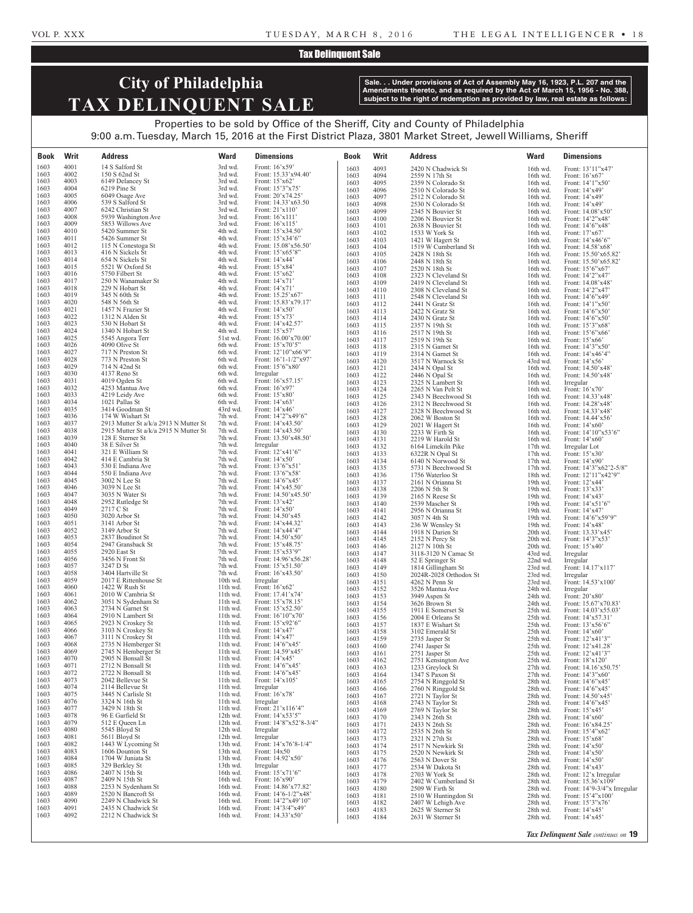### Tax Delinquent Sale

# **City of Philadelphia TAX DELINQUENT SALE**

**Sale. . . Under provisions of Act of Assembly May 16, 1923, P.L. 207 and the Amendments thereto, and as required by the Act of March 15, 1956 - No. 388, subject to the right of redemption as provided by law, real estate as follows:**

Properties to be sold by Office of the Sheriff, City and County of Philadelphia 9:00 a.m. Tuesday, March 15, 2016 at the First District Plaza, 3801 Market Street, Jewell Williams, Sheriff

| Book         | Writ         | <b>Address</b>                           | <b>Ward</b>          | <b>Dimensions</b>                                                    | <b>Book</b>  | Writ         | <b>Address</b>                           | <b>Ward</b>          | <b>Dimensions</b>                                               |
|--------------|--------------|------------------------------------------|----------------------|----------------------------------------------------------------------|--------------|--------------|------------------------------------------|----------------------|-----------------------------------------------------------------|
| 1603         | 4001         | 14 S Salford St                          | 3rd wd.              | Front: 16'x59'                                                       | 1603         | 4093         | 2420 N Chadwick St                       | 16th wd.             | Front: 13'11"x47'                                               |
| 1603         | 4002<br>4003 | 150 S 62nd St                            | 3rd wd.              | Front: 15.33'x94.40'<br>Front: 15'x62'                               | 1603         | 4094         | 2559 N 17th St                           | 16th wd.             | Front: $16^{\circ}x67^{\circ}$                                  |
| 1603<br>1603 | 4004         | 6149 Delancey St<br>6219 Pine St         | 3rd wd.<br>3rd wd.   | Front: 15'3"x75"                                                     | 1603         | 4095         | 2359 N Colorado St<br>2510 N Colorado St | 16th wd.             | Front: 14'1"x50'                                                |
| 1603         | 4005         | 6049 Osage Ave                           | 3rd wd.              | Front: 20'x74.25'                                                    | 1603<br>1603 | 4096<br>4097 | 2512 N Colorado St                       | 16th wd.<br>16th wd. | Front: 14'x49'<br>Front: 14'x49'                                |
| 1603         | 4006         | 539 S Salford St                         | 3rd wd.              | Front: 14.33'x63.50                                                  | 1603         | 4098         | 2530 N Colorado St                       | 16th wd.             | Front: 14'x49'                                                  |
| 1603         | 4007         | 6242 Christian St                        | 3rd wd.              | Front: 21'x110'                                                      | 1603         | 4099         | 2345 N Bouvier St                        | 16th wd.             | Front: 14.08'x50'                                               |
| 1603<br>1603 | 4008<br>4009 | 5939 Washington Ave<br>5853 Willows Ave  | 3rd wd.<br>3rd wd.   | Front: 16'x111'<br>Front: 16'x115'                                   | 1603         | 4100         | 2206 N Bouvier St                        | 16th wd.             | Front: 14'2"x48'                                                |
| 1603         | 4010         | 5420 Summer St                           | 4th wd.              | Front: 15'x34.50'                                                    | 1603<br>1603 | 4101<br>4102 | 2638 N Bouvier St<br>1533 W York St      | 16th wd.<br>16th wd. | Front: 14'6"x48'<br>Front: 17'x67'                              |
| 1603         | 4011         | 5426 Summer St                           | 4th wd.              | Front: 15'x34'6"                                                     | 1603         | 4103         | 1421 W Hagert St                         | 16th wd.             | Front: 14'x46'6"                                                |
| 1603         | 4012         | 115 N Conestoga St                       | 4th wd.              | Front: 15.08'x56.50'                                                 | 1603         | 4104         | 1519 W Cumberland St                     | 16th wd.             | Front: 14.58'x68'                                               |
| 1603<br>1603 | 4013<br>4014 | 416 N Sickels St<br>654 N Sickels St     | 4th wd.<br>4th wd.   | Front: 15'x65'8"<br>Front: $14'x44'$                                 | 1603         | 4105         | 2428 N 18th St                           | 16th wd.             | Front: 15.50'x65.82'                                            |
| 1603         | 4015         | 5521 W Oxford St                         | 4th wd.              | Front: 15'x84'                                                       | 1603<br>1603 | 4106<br>4107 | 2448 N 18th St<br>2520 N 18th St         | 16th wd.<br>16th wd. | Front: 15.50'x65.82'<br>Front: $15^{\circ}6^{\circ}x67^{\circ}$ |
| 1603         | 4016         | 5750 Filbert St                          | 4th wd.              | Front: 15'x62'                                                       | 1603         | 4108         | 2323 N Cleveland St                      | 16th wd.             | Front: 14'2"x47'                                                |
| 1603         | 4017         | 250 N Wanamaker St                       | 4th wd.              | Front: 14'x71'                                                       | 1603         | 4109         | 2419 N Cleveland St                      | 16th wd.             | Front: 14.08'x48'                                               |
| 1603<br>1603 | 4018<br>4019 | 229 N Hobart St<br>345 N 60th St         | 4th wd.<br>4th wd.   | Front: 14'x71'<br>Front: 15.25'x67'                                  | 1603         | 4110         | 2308 N Cleveland St                      | 16th wd.             | Front: 14'2"x47'                                                |
| 1603         | 4020         | 548 N 56th St                            | 4th wd.              | Front: 15.83'x79.17'                                                 | 1603<br>1603 | 4111<br>4112 | 2548 N Cleveland St<br>2441 N Gratz St   | 16th wd.<br>16th wd. | Front: 14'6"x49"<br>Front: 14'1"x50"                            |
| 1603         | 4021         | 1457 N Frazier St                        | 4th wd.              | Front: 14'x50'                                                       | 1603         | 4113         | 2422 N Gratz St                          | 16th wd.             | Front: 14'6"x50"                                                |
| 1603         | 4022         | 1312 N Alden St                          | 4th wd.              | Front: 15'x73'                                                       | 1603         | 4114         | 2430 N Gratz St                          | 16th wd.             | Front: 14'6"x50"                                                |
| 1603         | 4023         | 530 N Hobart St                          | 4th wd.              | Front: 14'x42.57'                                                    | 1603         | 4115         | 2357 N 19th St                           | 16th wd.             | Front: 15'3"x68'                                                |
| 1603<br>1603 | 4024<br>4025 | 1340 N Hobart St<br>5545 Angora Terr     | 4th wd.<br>51st wd.  | Front: 15'x57'<br>Front: 16.00'x70.00'                               | 1603<br>1603 | 4116         | 2517 N 19th St                           | 16th wd.             | Front: 15'6"x66'                                                |
| 1603         | 4026         | 4090 Olive St                            | 6th wd.              | Front: 15'x70'5"                                                     | 1603         | 4117<br>4118 | 2519 N 19th St<br>2315 N Garnet St       | 16th wd.<br>16th wd. | Front: 15'x66'<br>Front: 14'3"x50"                              |
| 1603         | 4027         | 717 N Preston St                         | 6th wd.              | Front: 12'10"x66'9"                                                  | 1603         | 4119         | 2314 N Garnet St                         | 16th wd.             | Front: 14'x46'4"                                                |
| 1603         | 4028         | 773 N Preston St                         | 6th wd.              | Front: 16'1-1/2"x97'                                                 | 1603         | 4120         | 3517 N Warnock St                        | 43rd wd.             | Front: 14'x56'                                                  |
| 1603<br>1603 | 4029<br>4030 | 714 N 42nd St<br>4137 Reno St            | 6th wd.<br>6th wd.   | Front: 15'6"x80"<br>Irregular                                        | 1603         | 4121         | 2434 N Opal St                           | 16th wd.             | Front: 14.50'x48'                                               |
| 1603         | 4031         | 4019 Ogden St                            | 6th wd.              | Front: 16'x57.15'                                                    | 1603<br>1603 | 4122<br>4123 | 2446 N Opal St<br>2325 N Lambert St      | 16th wd.<br>16th wd. | Front: 14.50'x48'<br>Irregular                                  |
| 1603         | 4032         | 4253 Mantua Ave                          | 6th wd.              | Front: 16'x97'                                                       | 1603         | 4124         | 2265 N Van Pelt St                       | 16th wd.             | Front: 16'x70'                                                  |
| 1603         | 4033         | 4219 Leidy Ave                           | 6th wd.              | Front: 15'x80'                                                       | 1603         | 4125         | 2343 N Beechwood St                      | 16th wd.             | Front: 14.33'x48'                                               |
| 1603<br>1603 | 4034<br>4035 | 1021 Pallas St<br>3414 Goodman St        | 6th wd.<br>43rd wd.  | Front: 14'x63'<br>Front: $14'x46'$                                   | 1603         | 4126         | 2312 N Beechwood St                      | 16th wd.             | Front: 14.28'x48'                                               |
| 1603         | 4036         | 174 W Wishart St                         | 7th wd.              | Front: $14'2''x49'6''$                                               | 1603<br>1603 | 4127<br>4128 | 2328 N Beechwood St<br>2062 W Boston St  | 16th wd.<br>16th wd. | Front: 14.33'x48'<br>Front: $14.44' \times 56'$                 |
| 1603         | 4037         | 2913 Mutter St a/k/a 2913 N Mutter St    | 7th wd.              | Front: 14'x43.50'                                                    | 1603         | 4129         | 2021 W Hagert St                         | 16th wd.             | Front: 14'x60'                                                  |
| 1603         | 4038         | 2915 Mutter St a/k/a 2915 N Mutter St    | 7th wd.              | Front: 14'x43.50'                                                    | 1603         | 4130         | 2233 W Firth St                          | 16th wd.             | Front: 14'10"x53'6"                                             |
| 1603<br>1603 | 4039<br>4040 | 128 E Sterner St<br>38 E Silver St       | 7th wd.<br>7th wd.   | Front: 13.50'x48.50'<br>Irregular                                    | 1603         | 4131         | 2219 W Harold St                         | 16th wd.             | Front: $14^{\circ}x60^{\circ}$                                  |
| 1603         | 4041         | 321 E William St                         | 7th wd.              | Front: 12'x41'6"                                                     | 1603<br>1603 | 4132<br>4133 | 6164 Limekiln Pike<br>6322R N Opal St    | 17th wd.<br>17th wd. | Irregular Lot<br>Front: 15'x30'                                 |
| 1603         | 4042         | 414 E Cambria St                         | 7th wd.              | Front: 14'x50'                                                       | 1603         | 4134         | 6140 N Norwood St                        | 17th wd.             | Front: 14'x90'                                                  |
| 1603         | 4043         | 530 E Indiana Ave                        | 7th wd.              | Front: 13'6"x51'                                                     | 1603         | 4135         | 5731 N Beechwood St                      | 17th wd.             | Front: 14'3"x62'2-5/8"                                          |
| 1603<br>1603 | 4044<br>4045 | 550 E Indiana Ave<br>3002 N Lee St       | 7th wd.<br>7th wd.   | Front: 13'6"x58'<br>Front: 14'6"x45'                                 | 1603<br>1603 | 4136         | 1756 Waterloo St<br>2161 N Orianna St    | 18th wd.             | Front: 12'11"x42'9"                                             |
| 1603         | 4046         | 3039 N Lee St                            | 7th wd.              | Front: 14'x45.50'                                                    | 1603         | 4137<br>4138 | 2206 N 5th St                            | 19th wd.<br>19th wd. | Front: 12'x44'<br>Front: 13'x33'                                |
| 1603         | 4047         | 3035 N Water St                          | 7th wd.              | Front: 14.50'x45.50'                                                 | 1603         | 4139         | 2165 N Reese St                          | 19th wd.             | Front: 14'x43'                                                  |
| 1603<br>1603 | 4048<br>4049 | 2952 Rutledge St<br>2717 C St            | 7th wd.<br>7th wd.   | Front: 13'x42'<br>Front: 14'x50'                                     | 1603         | 4140         | 2539 Mascher St                          | 19th wd.             | Front: 14'x51'6"                                                |
| 1603         | 4050         | 3020 Arbor St                            | 7th wd.              | Front: 14.50'x45                                                     | 1603<br>1603 | 4141<br>4142 | 2956 N Orianna St<br>3057 N 4th St       | 19th wd.<br>19th wd. | Front: 14'x47'<br>Front: 14'6"x59'9"                            |
| 1603         | 4051         | 3141 Arbor St                            | 7th wd.              | Front: 14'x44.32'                                                    | 1603         | 4143         | 236 W Wensley St                         | 19th wd.             | Front: 14'x48'                                                  |
| 1603         | 4052         | 3149 Arbor St                            | 7th wd.              | Front: 14'x44'4"                                                     | 1603         | 4144         | 1918 N Darien St                         | 20th wd.             | Front: 13.33'x45'                                               |
| 1603<br>1603 | 4053<br>4054 | 2837 Boudinot St<br>2947 Gransback St    | 7th wd.<br>7th wd.   | Front: 14.50'x50'<br>Front: 15'x48.75'                               | 1603         | 4145         | 2152 N Percy St                          | 20th wd.             | Front: 14'3"x53'                                                |
| 1603         | 4055         | 2920 East St                             | 7th wd.              | Front: 15'x53'9"                                                     | 1603<br>1603 | 4146<br>4147 | 2127 N 10th St<br>3118-3120 N Camac St   | 20th wd.<br>43rd wd. | Front: 15'x40'<br>Irregular                                     |
| 1603         | 4056         | 3456 N Front St                          | 7th wd.              | Front: 14.96'x56.28'                                                 | 1603         | 4148         | 52 E Springer St                         | 22nd wd.             | Irregular                                                       |
| 1603<br>1603 | 4057<br>4058 | 3247 D St<br>3404 Hartville St           | 7th wd.<br>7th wd.   | Front: 15'x51.50'                                                    | 1603         | 4149         | 1814 Gillingham St                       | 23rd wd.             | Front: 14.17'x117'                                              |
| 1603         | 4059         | 2017 E Rittenhouse St                    | $10th$ wd.           | Front: 16'x43.50'<br>Irregular                                       | 1603<br>1603 | 4150<br>4151 | 2024R-2028 Orthodox St<br>4262 N Penn St | 23rd wd.<br>23rd wd. | Irregular<br>Front: 14.53'x100'                                 |
| 1603         | 4060         | 1422 W Rush St                           | 11th wd.             | Front: 16'x62'                                                       | 1603         | 4152         | 3526 Mantua Ave                          | 24th wd.             | Irregular                                                       |
| 1603         | 4061         | 2010 W Cambria St                        | 11th wd.             | Front: 17.41'x74'                                                    | 1603         | 4153         | 3949 Aspen St                            | 24th wd.             | Front: 20'x80'                                                  |
| 1603<br>1603 | 4062<br>4063 | 3051 N Sydenham St<br>2734 N Garnet St   | 11th wd.<br>11th wd. | Front: 15'x78.15'<br>Front: 15'x52.50'                               | 1603         | 4154         | 3626 Brown St                            | 24th wd.             | Front: 15.67'x70.83'                                            |
| 1603         | 4064         | 2910 N Lambert St                        | 11th wd.             | Front: 16'10"x70'                                                    | 1603<br>1603 | 4155<br>4156 | 1911 E Somerset St<br>2004 E Orleans St  | 25th wd.<br>25th wd. | Front: 14.03'x55.03'<br>Front: 14'x57.31'                       |
| 1603         | 4065         | 2923 N Croskey St                        | 11th wd.             | Front: 15'x92'6"                                                     | 1603         | 4157         | 1837 E Wishart St                        | 25th wd.             | Front: 13'x56'6"                                                |
| 1603         | 4066         | 3103 N Croskey St                        | 11th wd.<br>11th wd. | Front: 14'x47'                                                       | 1603         | 4158         | 3102 Emerald St                          | 25th wd.             | Front: $14'x60'$                                                |
| 1603<br>1603 | 4067<br>4068 | 3111 N Croskey St<br>2735 N Hemberger St | 11th wd.             | Front: $14'x47'$<br>Front: 14'6"x45'                                 | 1603<br>1603 | 4159<br>4160 | 2735 Jasper St<br>2741 Jasper St         | 25th wd.<br>25th wd. | Front: 12'x41'3"<br>Front: 12'x41.28'                           |
| 1603         | 4069         | 2745 N Hemberger St                      | 11th wd.             | Front: 14.59'x45'                                                    | 1603         | 4161         | 2751 Jasper St                           | 25th wd.             | Front: 12'x41'3"                                                |
| 1603         | 4070         | 2905 N Bonsall St                        | 11th wd.             | Front: 14'x45'                                                       | 1603         | 4162         | 2751 Kensington Ave                      | 25th wd.             | Front: 18'x120'                                                 |
| 1603<br>1603 | 4071<br>4072 | 2712 N Bonsall St<br>2722 N Bonsall St   | 11th wd.<br>11th wd. | Front: 14'6"x45'<br>Front: $14'6''x45'$                              | 1603         | 4163         | 1233 Greylock St                         | 27th wd.             | Front: 14.16'x50.75'                                            |
| 1603         | 4073         | 2042 Bellevue St                         | 11th wd.             | Front: 14'x105'                                                      | 1603<br>1603 | 4164<br>4165 | 1347 S Paxon St<br>2754 N Ringgold St    | 27th wd.<br>28th wd. | Front: 14'3"x60"<br>Front: 14'6"x45"                            |
| 1603         | 4074         | 2114 Bellevue St                         | 11th wd.             | Irregular                                                            | 1603         | 4166         | 2760 N Ringgold St                       | 28th wd.             | Front: 14'6"x45'                                                |
| 1603         | 4075         | 3445 N Carlisle St                       | 11th wd.             | Front: 16'x78'                                                       | 1603         | 4167         | 2721 N Taylor St                         | 28th wd.             | Front: 14.50'x45'                                               |
| 1603<br>1603 | 4076<br>4077 | 3324 N 16th St<br>3429 N 18th St         | 11th wd.<br>11th wd. | Irregular<br>Front: 21'x116'4"                                       | 1603         | 4168         | 2743 N Taylor St                         | 28th wd.             | Front: 14'6"x45'                                                |
| 1603         | 4078         | 96 E Garfield St                         | 12th wd.             | Front: 14'x53'5"                                                     | 1603<br>1603 | 4169<br>4170 | 2769 N Taylor St<br>2343 N 26th St       | 28th wd.<br>28th wd. | Front: 15'x45'<br>Front: $14'x60'$                              |
| 1603         | 4079         | 512 E Queen Ln                           | 12th wd.             | Front: 14'8"x52'8-3/4"                                               | 1603         | 4171         | 2433 N 26th St                           | 28th wd.             | Front: 16'x84.25'                                               |
| 1603         | 4080         | 5545 Bloyd St                            | 12th wd.             | Irregular                                                            | 1603         | 4172         | 2535 N 26th St                           | 28th wd.             | Front: 15'4"x62"                                                |
| 1603<br>1603 | 4081<br>4082 | 5611 Bloyd St<br>1443 W Lycoming St      | 12th wd.<br>13th wd. | Irregular<br>Front: 14'x76'8-1/4"                                    | 1603<br>1603 | 4173<br>4174 | 2321 N 27th St<br>2517 N Newkirk St      | 28th wd.<br>28th wd. | Front: $15^{\circ}x68^{\circ}$<br>Front: 14'x50'                |
| 1603         | 4083         | 1606 Dounton St                          | 13th wd.             | Front: $14x50$                                                       | 1603         | 4175         | 2520 N Newkirk St                        | 28th wd.             | Front: 14'x50'                                                  |
| 1603         | 4084         | 1704 W Juniata St                        | 13th wd.             | Front: 14.92'x50'                                                    | 1603         | 4176         | 2563 N Dover St                          | 28th wd.             | Front: 14'x50'                                                  |
| 1603<br>1603 | 4085<br>4086 | 329 Berkley St<br>2407 N 15th St         | 13th wd.<br>16th wd. | Irregular<br>Front: 15'x71'6"                                        | 1603         | 4177         | 2534 W Dakota St                         | 28th wd.             | Front: 14'x43'                                                  |
| 1603         | 4087         | 2409 N 15th St                           | 16th wd.             | Front: 16'x90'                                                       | 1603<br>1603 | 4178<br>4179 | 2703 W York St<br>2402 W Cumberland St   | 28th wd.<br>28th wd. | Front: 12'x Irregular<br>Front: 15.36'x109'                     |
| 1603         | 4088         | 2253 N Sydenham St                       | 16th wd.             | Front: 14.86'x77.82'                                                 | 1603         | 4180         | 2509 W Firth St                          | 28th wd.             | Front: 14'9-3/4"x Irregular                                     |
| 1603<br>1603 | 4089<br>4090 | 2520 N Bancroft St<br>2249 N Chadwick St | 16th wd.<br>16th wd. | Front: $14^{\circ}6 - 1/2^{\circ}x48^{\circ}$<br>Front: 14'2"x49'10" | 1603         | 4181         | 2510 W Huntingdon St                     | 28th wd.             | Front: 15'4"x100"                                               |
| 1603         | 4091         | 2435 N Chadwick St                       | 16th wd.             | Front: 14'3/4"x49'                                                   | 1603<br>1603 | 4182<br>4183 | 2407 W Lehigh Ave<br>2625 W Sterner St   | 28th wd.<br>28th wd. | Front: 15'3"x76"<br>Front: $14^\circ x45^\circ$                 |
| 1603         | 4092         | 2212 N Chadwick St                       | 16th wd.             | Front: 14.33'x50'                                                    | 1603         | 4184         | 2631 W Sterner St                        | 28th wd.             | Front: $14'x45'$                                                |
|              |              |                                          |                      |                                                                      |              |              |                                          |                      |                                                                 |
|              |              |                                          |                      |                                                                      |              |              |                                          |                      | Tax Delinquent Sale continues on 19                             |